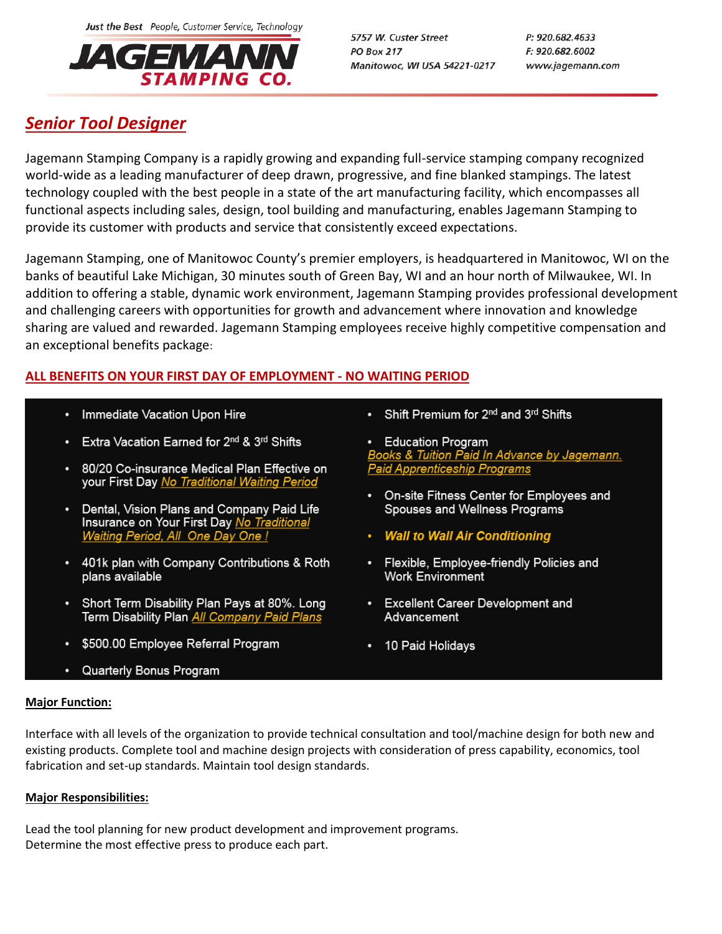Just the Best People, Customer Service, Technology



5757 W. Custer Street **PO Box 217** Manitowoc, WI USA 54221-0217 P: 920.682.4633 F: 920.682.6002 www.jagemann.com

# *Senior Tool Designer*

Jagemann Stamping Company is a rapidly growing and expanding full-service stamping company recognized world-wide as a leading manufacturer of deep drawn, progressive, and fine blanked stampings. The latest technology coupled with the best people in a state of the art manufacturing facility, which encompasses all functional aspects including sales, design, tool building and manufacturing, enables Jagemann Stamping to provide its customer with products and service that consistently exceed expectations.

Jagemann Stamping, one of Manitowoc County's premier employers, is headquartered in Manitowoc, WI on the banks of beautiful Lake Michigan, 30 minutes south of Green Bay, WI and an hour north of Milwaukee, WI. In addition to offering a stable, dynamic work environment, Jagemann Stamping provides professional development and challenging careers with opportunities for growth and advancement where innovation and knowledge sharing are valued and rewarded. Jagemann Stamping employees receive highly competitive compensation and an exceptional benefits package:

# **ALL BENEFITS ON YOUR FIRST DAY OF EMPLOYMENT - NO WAITING PERIOD**

- Immediate Vacation Upon Hire
- Extra Vacation Earned for 2<sup>nd</sup> & 3<sup>rd</sup> Shifts
- 80/20 Co-insurance Medical Plan Effective on your First Day No Traditional Waiting Period
- Dental, Vision Plans and Company Paid Life Insurance on Your First Day No Traditional Waiting Period, All One Day One !
- 401k plan with Company Contributions & Roth plans available
- Short Term Disability Plan Pays at 80%. Long Term Disability Plan All Company Paid Plans
- \$500.00 Employee Referral Program
- Quarterly Bonus Program
- Shift Premium for 2<sup>nd</sup> and 3<sup>rd</sup> Shifts
- Education Program <u>Books & Tuition Paid In Advance by Jagemann.</u> **Paid Apprenticeship Programs**
- On-site Fitness Center for Employees and Spouses and Wellness Programs
- Wall to Wall Air Conditioning
- Flexible, Employee-friendly Policies and **Work Environment**
- Excellent Career Development and Advancement
- 10 Paid Holidays

# **Major Function:**

Interface with all levels of the organization to provide technical consultation and tool/machine design for both new and existing products. Complete tool and machine design projects with consideration of press capability, economics, tool fabrication and set-up standards. Maintain tool design standards.

# **Major Responsibilities:**

Lead the tool planning for new product development and improvement programs. Determine the most effective press to produce each part.